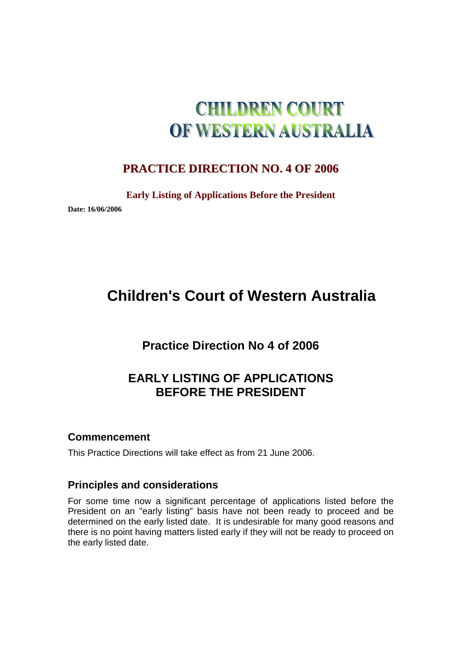# **CHILDREN COURT** OF WESTERN AUSTRALIA

## **PRACTICE DIRECTION NO. 4 OF 2006**

**Early Listing of Applications Before the President** 

**Date: 16/06/2006** 

## **Children's Court of Western Australia**

## **Practice Direction No 4 of 2006**

## **EARLY LISTING OF APPLICATIONS BEFORE THE PRESIDENT**

## **Commencement**

This Practice Directions will take effect as from 21 June 2006.

## **Principles and considerations**

For some time now a significant percentage of applications listed before the President on an "early listing" basis have not been ready to proceed and be determined on the early listed date. It is undesirable for many good reasons and there is no point having matters listed early if they will not be ready to proceed on the early listed date.